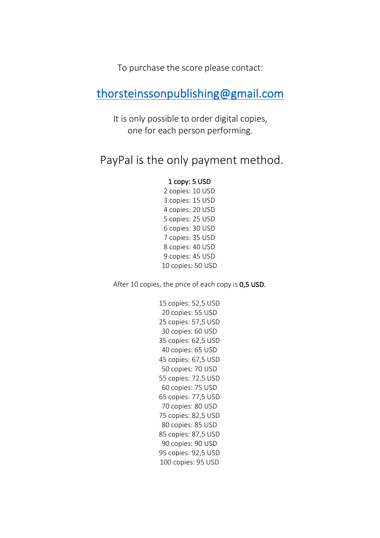To purchase the score please contact:

## thorsteinssonpublishing@gmail.com

It is only possible to order digital copies, one for each person performing.

## PayPal is the only payment method.

#### 1 copy: 5 USD

2 copies: 10 USD 3 copies: 15 USD 4 copies: 20 USD 5 copies: 25 USD 6 copies: 30 USD 7 copies: 35 USD 8 copies: 40 USD 9 copies: 45 USD 10 copies: 50 USD

After 10 copies, the price of each copy is 0,5 USD.

 copies: 52,5 USD copies: 55 USD copies: 57,5 USD copies: 60 USD copies: 62,5 USD 40 copies: 65 USD copies: 67,5 USD copies: 70 USD copies: 72,5 USD copies: 75 USD copies: 77,5 USD copies: 80 USD copies: 82,5 USD 80 copies: 85 USD 85 copies: 87,5 USD 90 copies: 90 USD 95 copies: 92,5 USD 100 copies: 95 USD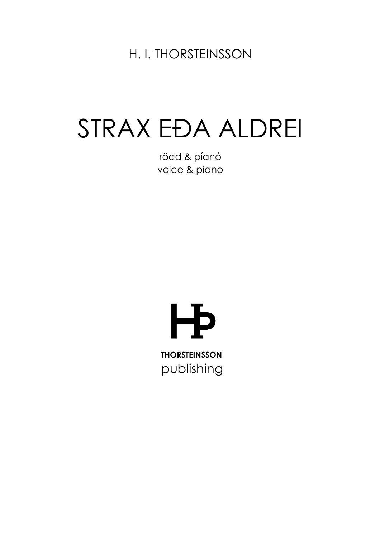H. I. THORSTEINSSON

# STRAX EĐA ALDREI

rödd & píanó voice & piano

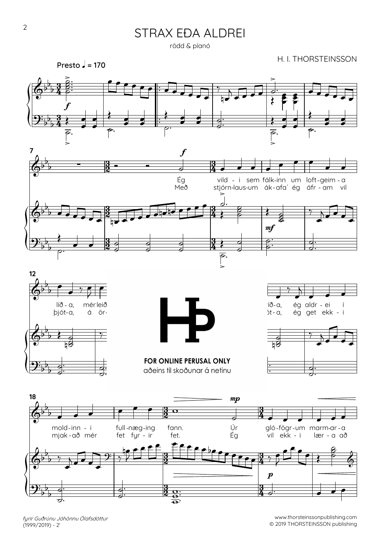rödd & píanó



 $\overline{\mathbf{e}}$  $\overline{\mathbf{e}}$ 

fyrir Guðrúnu Jóhönnu Ólafsdóttur  $(1999/2019) - 2'$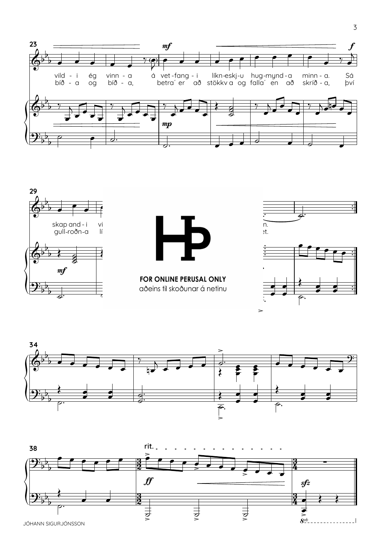





FOR ONLINE PERUSAL ONLY aðeins til skoðunar á netinu



 $\overline{3}$